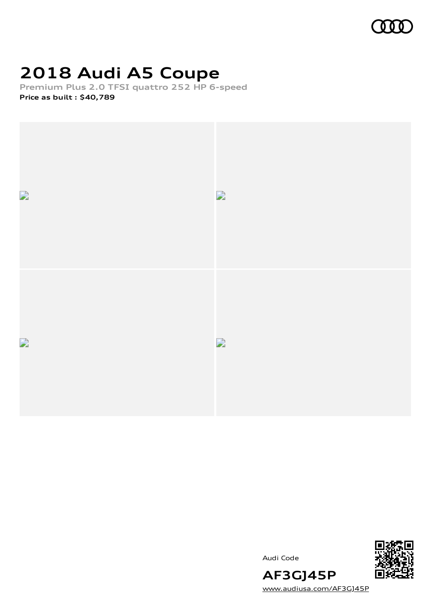

# **2018 Audi A5 Coupe**

**Premium Plus 2.0 TFSI quattro 252 HP 6-speed Price as built [:](#page-7-0) \$40,789**



Audi Code



**AF3GJ45P** [www.audiusa.com/AF3GJ45P](https://www.audiusa.com/AF3GJ45P)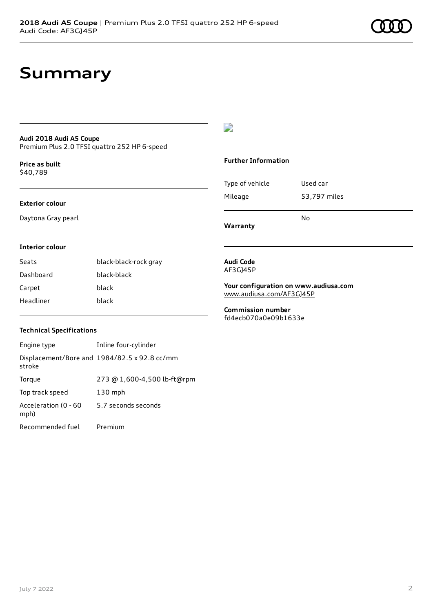### **Summary**

#### **Audi 2018 Audi A5 Coupe** Premium Plus 2.0 TFSI quattro 252 HP 6-speed

**Price as buil[t](#page-7-0)** \$40,789

#### **Exterior colour**

Daytona Gray pearl

### $\overline{\phantom{a}}$

#### **Further Information**

|                 | No           |
|-----------------|--------------|
| Mileage         | 53,797 miles |
| Type of vehicle | Used car     |

**Warranty**

#### **Interior colour**

Seats black-black-rock gray Dashboard black-black Carpet black Headliner black

#### **Audi Code** AF3GJ45P

**Your configuration on www.audiusa.com** [www.audiusa.com/AF3GJ45P](https://www.audiusa.com/AF3GJ45P)

**Commission number** fd4ecb070a0e09b1633e

#### **Technical Specifications**

| Engine type                  | Inline four-cylinder                         |
|------------------------------|----------------------------------------------|
| stroke                       | Displacement/Bore and 1984/82.5 x 92.8 cc/mm |
| Torque                       | 273 @ 1,600-4,500 lb-ft@rpm                  |
| Top track speed              | $130$ mph                                    |
| Acceleration (0 - 60<br>mph) | 5.7 seconds seconds                          |
| Recommended fuel             | Premium                                      |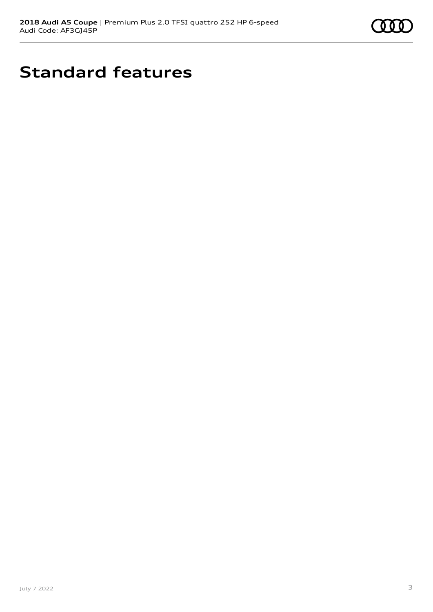

# **Standard features**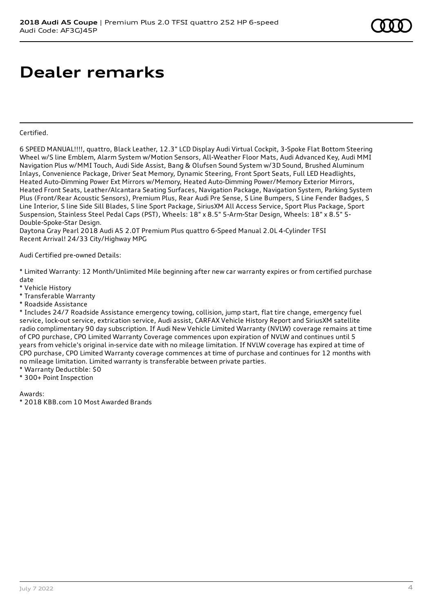## **Dealer remarks**

Certified.

6 SPEED MANUAL!!!!, quattro, Black Leather, 12.3" LCD Display Audi Virtual Cockpit, 3-Spoke Flat Bottom Steering Wheel w/S line Emblem, Alarm System w/Motion Sensors, All-Weather Floor Mats, Audi Advanced Key, Audi MMI Navigation Plus w/MMI Touch, Audi Side Assist, Bang & Olufsen Sound System w/3D Sound, Brushed Aluminum Inlays, Convenience Package, Driver Seat Memory, Dynamic Steering, Front Sport Seats, Full LED Headlights, Heated Auto-Dimming Power Ext Mirrors w/Memory, Heated Auto-Dimming Power/Memory Exterior Mirrors, Heated Front Seats, Leather/Alcantara Seating Surfaces, Navigation Package, Navigation System, Parking System Plus (Front/Rear Acoustic Sensors), Premium Plus, Rear Audi Pre Sense, S Line Bumpers, S Line Fender Badges, S Line Interior, S line Side Sill Blades, S line Sport Package, SiriusXM All Access Service, Sport Plus Package, Sport Suspension, Stainless Steel Pedal Caps (PST), Wheels: 18" x 8.5" 5-Arm-Star Design, Wheels: 18" x 8.5" 5- Double-Spoke-Star Design.

Daytona Gray Pearl 2018 Audi A5 2.0T Premium Plus quattro 6-Speed Manual 2.0L 4-Cylinder TFSI Recent Arrival! 24/33 City/Highway MPG

#### Audi Certified pre-owned Details:

\* Limited Warranty: 12 Month/Unlimited Mile beginning after new car warranty expires or from certified purchase date

- \* Vehicle History
- \* Transferable Warranty
- \* Roadside Assistance

\* Includes 24/7 Roadside Assistance emergency towing, collision, jump start, flat tire change, emergency fuel service, lock-out service, extrication service, Audi assist, CARFAX Vehicle History Report and SiriusXM satellite radio complimentary 90 day subscription. If Audi New Vehicle Limited Warranty (NVLW) coverage remains at time of CPO purchase, CPO Limited Warranty Coverage commences upon expiration of NVLW and continues until 5 years from vehicle's original in-service date with no mileage limitation. If NVLW coverage has expired at time of CPO purchase, CPO Limited Warranty coverage commences at time of purchase and continues for 12 months with no mileage limitation. Limited warranty is transferable between private parties.

\* Warranty Deductible: \$0 \* 300+ Point Inspection

Awards:

\* 2018 KBB.com 10 Most Awarded Brands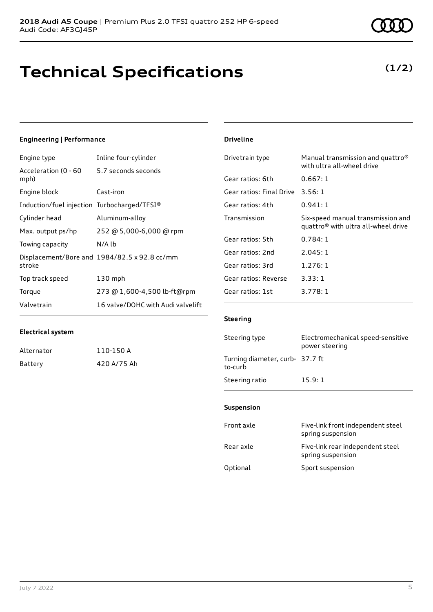### **Technical Specifications**

### **Engineering | Performance**

| Engine type                                 | Inline four-cylinder                         |
|---------------------------------------------|----------------------------------------------|
| Acceleration (0 - 60<br>mph)                | 5.7 seconds seconds                          |
| Engine block                                | Cast-iron                                    |
| Induction/fuel injection Turbocharged/TFSI® |                                              |
| Cylinder head                               | Aluminum-alloy                               |
| Max. output ps/hp                           | 252 @ 5,000-6,000 @ rpm                      |
| Towing capacity                             | N/A lb                                       |
| stroke                                      | Displacement/Bore and 1984/82.5 x 92.8 cc/mm |
| Top track speed                             | $130$ mph                                    |
| Torque                                      | 273 @ 1,600-4,500 lb-ft@rpm                  |
| Valvetrain                                  | 16 valve/DOHC with Audi valvelift            |

| Drivetrain type          | Manual transmission and quattro <sup>®</sup><br>with ultra all-wheel drive           |
|--------------------------|--------------------------------------------------------------------------------------|
| Gear ratios: 6th         | 0.667:1                                                                              |
| Gear ratios: Final Drive | 3.56:1                                                                               |
| Gear ratios: 4th         | 0.941:1                                                                              |
| Transmission             | Six-speed manual transmission and<br>quattro <sup>®</sup> with ultra all-wheel drive |
| Gear ratios: 5th         | 0.784:1                                                                              |
| Gear ratios: 2nd         | 2.045:1                                                                              |
| Gear ratios: 3rd         | 1.276:1                                                                              |
| Gear ratios: Reverse     | 3.33:1                                                                               |
| Gear ratios: 1st         | 3.778:1                                                                              |

#### **Electrical system**

| Alternator | 110-150 A   |
|------------|-------------|
| Battery    | 420 A/75 Ah |

#### **Steering**

**Driveline**

| Steering type                              | Electromechanical speed-sensitive<br>power steering |
|--------------------------------------------|-----------------------------------------------------|
| Turning diameter, curb- 37.7 ft<br>to-curb |                                                     |
| Steering ratio                             | 15.9:1                                              |

#### **Suspension**

| Front axle | Five-link front independent steel<br>spring suspension |
|------------|--------------------------------------------------------|
| Rear axle  | Five-link rear independent steel<br>spring suspension  |
| Optional   | Sport suspension                                       |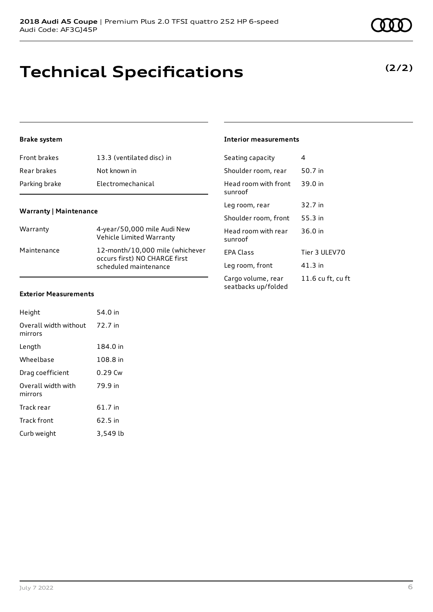### **Technical Specifications**

#### **Brake system**

| <b>Front brakes</b> | 13.3 (ventilated disc) in |
|---------------------|---------------------------|
| Rear brakes         | Not known in              |
| Parking brake       | Electromechanical         |

#### **Warranty | Maintenance**

| Warranty    | 4-year/50,000 mile Audi New<br>Vehicle Limited Warranty                                   |
|-------------|-------------------------------------------------------------------------------------------|
| Maintenance | 12-month/10,000 mile (whichever<br>occurs first) NO CHARGE first<br>scheduled maintenance |

### Seating capacity 4

**Interior measurements**

| Shoulder room, rear                       | 50.7 in           |
|-------------------------------------------|-------------------|
| Head room with front<br>sunroof           | 39.0 in           |
| Leg room, rear                            | 32.7 in           |
| Shoulder room, front                      | 55.3 in           |
| Head room with rear<br>sunroof            | 36.0 in           |
| FPA Class                                 | Tier 3 ULEV70     |
| Leg room, front                           | $41.3$ in         |
| Cargo volume, rear<br>seatbacks up/folded | 11.6 cu ft, cu ft |

#### **Exterior Measurements**

| Height                           | 54.0 in  |
|----------------------------------|----------|
| Overall width without<br>mirrors | 72.7 in  |
| Length                           | 184.0 in |
| Wheelbase                        | 108.8 in |
| Drag coefficient                 | 0.29 Cw  |
| Overall width with<br>mirrors    | 79.9 in  |
| Track rear                       | 61.7 in  |
| <b>Track front</b>               | 62.5 in  |
| Curb weight                      | 3,549 lb |

### **(2/2)**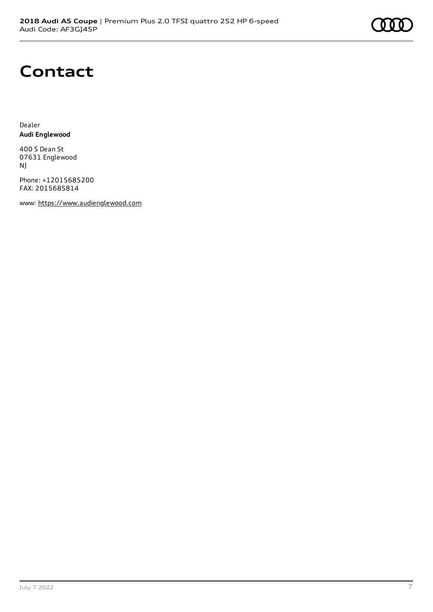

### **Contact**

Dealer **Audi Englewood**

400 S Dean St 07631 Englewood NJ

Phone: +12015685200 FAX: 2015685814

www: [https://www.audienglewood.com](https://www.audienglewood.com/)